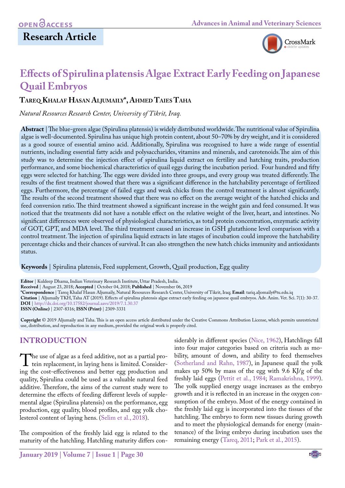

# **Effects of Spirulina platensis Algae Extract Early Feeding on Japanese Quail Embryos**

## **Tareq Khalaf Hasan Aljumaily\*, Ahmed Taies Taha**

*Natural Resources Research Center, University of Tikrit, Iraq.*

**Abstract** | The blue-green algae (Spirulina platensis) is widely distributed worldwide. The nutritional value of Spirulina algae is well-documented. Spirulina has unique high protein content, about 50–70% by dry weight, and it is considered as a good source of essential amino acid. Additionally, Spirulina was recognised to have a wide range of essential nutrients, including essential fatty acids and polysaccharides, vitamins and minerals, and carotenoids.The aim of this study was to determine the injection effect of spirulina liquid extract on fertility and hatching traits, production performance, and some biochemical characteristics of quail eggs during the incubation period. Four hundred and fifty eggs were selected for hatching. The eggs were divided into three groups, and every group was treated differently. The results of the first treatment showed that there was a significant difference in the hatchability percentage of fertilized eggs. Furthermore, the percentage of failed eggs and weak chicks from the control treatment is almost significantly. The results of the second treatment showed that there was no effect on the average weight of the hatched chicks and feed conversion ratio. The third treatment showed a significant increase in the weight gain and feed consumed. It was noticed that the treatments did not have a notable effect on the relative weight of the liver, heart, and intestines. No significant differences were observed of physiological characteristics, as total protein concentration, enzymatic activity of GOT, GPT, and MDA level. The third treatment caused an increase in GSH glutathione level comparison with a control treatment. The injection of spirulina liquid extracts in late stages of incubation could improve the hatchability percentage chicks and their chances of survival. It can also strengthen the new hatch chicks immunity and antioxidants status.

**Keywords** | Spirulina platensis, Feed supplement, Growth, Quail production, Egg quality

**Editor** | Kuldeep Dhama, Indian Veterinary Research Institute, Uttar Pradesh, India. **Received** | August 23, 2018; **Accepted** | October 04, 2018; **Published** | November 06, 2019 **\*Correspondence** | Tareq Khalaf Hasan Aljumaily, Natural Resources Research Center, University of Tikrit, Iraq; **Email**: tariq.aljomaily@tu.edu.iq **Citation** | Aljumaily TKH, Taha AT (2019). Effects of spirulina platensis algae extract early feeding on japanese quail embryos. Adv. Anim. Vet. Sci. 7(1): 30-37. **DOI** | [http://dx.doi.org/10.17582/journal.aavs/201](http://dx.doi.org/10.17582/journal.aavs/2019/7.1.30.37)9/7.1.30.37 **ISSN (Online)** | 2307-8316; **ISSN (Print)** | 2309-3331

**Copyright** © 2019 Aljumaily and Taha. This is an open access article distributed under the Creative Commons Attribution License, which permits unrestricted use, distribution, and reproduction in any medium, provided the original work is properly cited.

# **INTRODUCTION**

The use of algae as a feed additive, not as a partial pro-<br>tein replacement, in laying hens is limited. Consider-<br>ing the cost-effectiveness and better egg production and ing the cost-effectiveness and better egg production and quality, Spirulina could be used as a valuable natural feed additive. Therefore, the aims of the current study were to determine the effects of feeding different levels of supplemental algae (Spirulina platensis) on the performance, egg production, egg quality, blood profiles, and egg yolk cholesterol content of laying hens. [\(Selim et al., 2018\)](#page-6-0).

The composition of the freshly laid egg is related to the maturity of the hatchling. Hatchling maturity differs con-

siderably in different species [\(Nice, 1962](#page-6-1)), Hatchlings fall into four major categories based on criteria such as mobility, amount of down, and ability to feed themselves [\(Sotherland and Rahn, 1987\)](#page-6-2), in Japanese quail the yolk makes up 50% by mass of the egg with 9.6 KJ/g of the freshly laid eggs [\(Pettit et al., 1984](#page-6-3); [Ramakrishna, 1999\)](#page-6-4). The yolk supplied energy usage increases as the embryo growth and it is reflected in an increase in the oxygen consumption of the embryo. Most of the energy contained in the freshly laid egg is incorporated into the tissues of the hatchling. The embryo to form new tissues during growth and to meet the physiological demands for energy (maintenance) of the living embryo during incubation uses the remaining energy [\(Tareq, 2011;](#page-7-0) [Park et al., 2015\)](#page-6-5).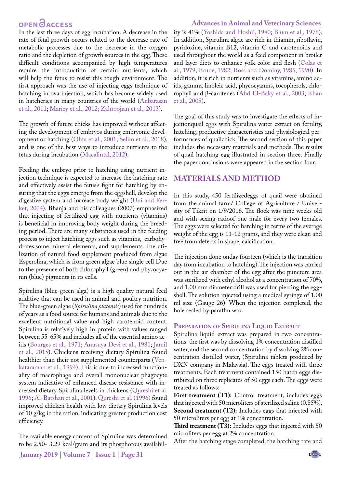# **OPEN GACCESS**

In the last three days of egg incubation. A decrease in the rate of fetal growth occurs related to the decrease rate of metabolic processes due to the decrease in the oxygen ratio and the depletion of growth sources in the egg. These difficult conditions accompanied by high temperatures require the introduction of certain nutrients, which will help the fetus to resist this tough environment. The first approach was the use of injecting eggs technique of hatching in ova injection, which has become widely used in hatcheries in many countries of the world [\(Anbarasan](#page-5-0) [et al., 2011;](#page-5-0) [Mariey et al., 2012;](#page-6-6) [Zahroojian et al., 2013\)](#page-7-1).

The growth of future chicks has improved without affecting the development of embryos during embryonic development or hatching ([Ohta et al., 2001;](#page-6-7) [Selim et al., 2018\)](#page-6-0), and is one of the best ways to introduce nutrients to the fetus during incubation ([Macalintal, 2012\)](#page-6-8).

Feeding the embryo prior to hatching using nutrient injection technique is expected to increase the hatching rate and effectively assist the fetus's fight for hatching by ensuring that the eggs emerge from the eggshell, develop the digestive system and increase body weight (Uni and Ferket, 2004). Bhanja and his colleagues (2007) emphasized that injecting of fertilized egg with nutrients (vitamins) is beneficial in improving body weight during the breeding period. There are many substances used in the feeding process to inject hatching eggs such as vitamins, carbohydrates,some mineral elements, and supplements. The utilization of natural food supplement produced from algae Esperolina, which is from green algae blue single cell Due to the presence of both chlorophyll (green) and phycocyanin (blue) pigments in its cells.

Spirulina (blue-green alga) is a high quality natural feed additive that can be used in animal and poultry nutrition. The blue-green algae (*Spirulina platensis*) used for hundreds of years as a food source for humans and animals due to the excellent nutritional value and high carotenoid content. Spirulina is relatively high in protein with values ranged between 55-65% and includes all of the essential amino acids ([Bourges et al., 1971;](#page-6-9) [Anusuya Devi et al., 1981;](#page-5-1) [Jamil](#page-6-10) [et al., 2015](#page-6-10)). Chickens receiving dietary Spirulina found healthier than their not supplemented counterparts ([Ven](#page-7-2)[kataraman et al., 1994\)](#page-7-2). This is due to increased functionality of macrophage and overall mononuclear phagocyte system indicative of enhanced disease resistance with increased dietary Spirulina levels in chickens [\(Qureshi et al.](#page-6-11) [1996](#page-6-11); [Al-Batshan et al., 2001\)](#page-5-2)[. Qureshi et al. \(1996\)](#page-6-11) found improved chicken health with low dietary Spirulina levels of 10 g/kg in the ration, indicating greater production cost efficiency.

The available energy content of Spirulina was determined to be 2.50- 3.29 kcal/gram and its phosphorous availabil-

#### ity is 41% ([Yoshida and Hoshii, 1980](#page-7-3); [Blum et al., 1976](#page-6-12)). In addition, Spirulina algae are rich in thiamin, riboflavin, pyridoxine, vitamin B12, vitamin C and carotenoids and used throughout the world as a feed component in broiler and layer diets to enhance yolk color and flesh (Colas et al., 1979[; Brune, 1982](#page-6-13); [Ross and Dominy, 1985,](#page-6-14) [1990\)](#page-6-15). In addition, it is rich in nutrients such as vitamins, amino acids, gamma linoleic acid, phycocyanins, tocopherols, chlorophyll and β-carotenes (Abd El-Baky et al., 2003; [Khan](#page-6-16)  [et al., 2005\)](#page-6-16).

The goal of this study was to investigate the effects of injectionquail eggs with Spirulina water extract on fertility, hatching, productive characteristics and physiological performances of quailchick. The second section of this paper includes the necessary materials and methods. The results of quail hatching egg illustrated in section three. Finally the paper conclusions were appeared in the section four.

## **MATERIALS AND METHOD**

In this study, 450 fertilizedeggs of quail were obtained from the animal farm/ College of Agriculture / University of Tikrit on 1/9/2016. The flock was nine weeks old and with sexing ratioof one male for every two females. The eggs were selected for hatching in terms of the average weight of the egg is 11-12 grams, and they were clean and free from defects in shape, calcification.

The injection done onday fourteen (which is the transition day from incubation to hatching).The injection was carried out in the air chamber of the egg after the puncture area was sterilized with ethyl alcohol at a concentration of 70%, and 1.00 mm diameter drill was used for piercing the eggshell. The solution injected using a medical syringe of 1.00 ml size (Gauge 26). When the injection completed, the hole sealed by paraffin wax.

### **Preparation of Spirulina Liquid Extract**

Spirulina liquid extract was prepared in two concentrations: the first was by dissolving 1% concentration distilled water, and the second concentration by dissolving 2% concentration distilled water, (Spirulina tablets produced by DXN company in Malaysia). The eggs treated with three treatments. Each treatment contained 150 hatch eggs distributed on three replicates of 50 eggs each. The eggs were treated as follows:

First treatment (T1): Control treatment, includes eggs that injected with 50 microliters of sterilized saline (0.85%). **Second treatment (T2):** Includes eggs that injected with 50 microliters per egg at 1% concentration.

**Third treatment (T3):** Includes eggs that injected with 50 microliters per egg at 2% concentration.

After the hatching stage completed, the hatching rate and



### **Advances in Animal and Veterinary Sciences**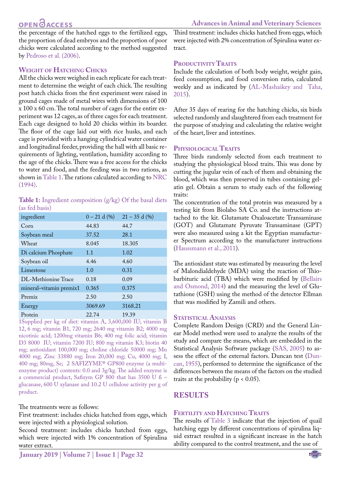# **OPEN GACCESS**

the percentage of the hatched eggs to the fertilized eggs, the proportion of dead embryos and the proportion of poor chicks were calculated according to the method suggested by Pedroso et al. (2006).

### **Weight of Hatching Chicks**

All the chicks were weighed in each replicate for each treatment to determine the weight of each chick. The resulting post hatch chicks from the first experiment were raised in ground cages made of metal wires with dimensions of 100 x 100 x 60 cm. The total number of cages for the entire experiment was 12 cages, as of three cages for each treatment. Each cage designed to hold 20 chicks within its boarder. The floor of the cage laid out with rice husks, and each cage is provided with a hanging cylindrical water container and longitudinal feeder, providing the hall with all basic requirements of lighting, ventilation, humidity according to the age of the chicks. There was a free access for the chicks to water and food, and the feeding was in two rations, as shown in [Table 1](#page-2-0). The rations calculated according to [NRC](#page-6-17) [\(1994\).](#page-6-17)

<span id="page-2-0"></span>**Table 1:** Ingredient composition (g/kg) Of the basal diets (as fed basis)

| ingredient              | $0 - 21$ d $(\%)$ | $21 - 35$ d $(\%)$ |
|-------------------------|-------------------|--------------------|
| Corn                    | 44.83             | 44.7               |
| Soybean meal            | 37.52             | 28.1               |
| Wheat                   | 8.045             | 18.305             |
| Di calcium Phosphate    | 1.1               | 1.02               |
| Soybean oil             | 4.46              | 4.60               |
| Limestone               | 1.0               | 0.31               |
| DL-Methionine Trace     | 0.18              | 0.09               |
| mineral-vitamin premix1 | 0.365             | 0.375              |
| Premix                  | 2.50              | 2.50               |
| Energy                  | 3069.69           | 3168.21            |
| Protein                 | 22.74             | 19.39              |

1Supplied per kg of diet: vitamin A, 3,600,000 IU; vitamin B 12, 6 mg; vitamin B1, 720 mg; 2640 mg vitamin B2; 4000 mg nicotinic acid; 1200mg vitamin B6; 400 mg folic acid; vitamin D3 8000 IU; vitamin 7200 IU; 800 mg vitamin K3; biotin 40 mg; antioxidant 100,000 mg; choline chloride 50000 mg; Mn 4000 mg; Zinc 33880 mg; Iron 20,000 mg; Cu, 4000 mg; I, 400 mg; 80mg, Se; 2 SAFIZYME® GP800 enzyme (a multienzyme product) contents: 0.0 and 3g/kg. The added enzyme is a commercial product, Safizym GP 800 that has 3500 U ß – glucanase, 600 U xylanase and 10.2 U cellulose activity per g of product.

The treatments were as follows:

First treatment: includes chicks hatched from eggs, which were injected with a physiological solution.

Second treatment: includes chicks hatched from eggs, which were injected with 1% concentration of Spirulina water extract.

Third treatment: includes chicks hatched from eggs, which were injected with 2% concentration of Spirulina water extract.

### PRODUCTIVITY TRAITS

Include the calculation of both body weight, weight gain, feed consumption, and food conversion ratio, calculated weekly and as indicated by [\(AL-Mashaikey and Taha,](#page-5-3)  [2015\)](#page-5-3).

After 35 days of rearing for the hatching chicks, six birds selected randomly and slaughtered from each treatment for the purpose of studying and calculating the relative weight of the heart, liver and intestines.

### **Physiological Traits**

Three birds randomly selected from each treatment to studying the physiological blood traits. This was done by cutting the jugular vein of each of them and obtaining the blood, which was then preserved in tubes containing gelatin gel. Obtain a serum to study each of the following traits:

The concentration of the total protein was measured by a testing kit from Biolabo SA Co. and the instructions attached to the kit. Glutamate Oxaloacetate Transaminase (GOT) and Glutamate Pyruvate Transaminase (GPT) were also measured using a kit the Egyptian manufacturer Spectrum according to the manufacturer instructions [\(Haussmann et al., 2011\)](#page-6-18).

The antioxidant state was estimated by measuring the level of Malondialdehyde (MDA) using the reaction of Thiobarbituric acid (TBA) which were modified by ([Bellairs](#page-5-4)  [and Osmond, 2014\)](#page-5-4) and the measuring the level of Glutathione (GSH) using the method of the detector Ellman that was modified by Zamili and others.

### **STATISTICAL ANALYSIS**

Complete Random Design (CRD) and the General Linear Model method were used to analyze the results of the study and compare the means, which are embedded in the Statistical Analysis Software package (SAS, 2005) to assess the effect of the external factors. Duncan test [\(Dun](#page-6-19)[can, 1955\)](#page-6-19), performed to determine the significance of the differences between the means of the factors on the studied traits at the probability ( $p < 0.05$ ).

# **RESULTS**

### **Fertility and Hatching Traits**

The results of Table 3 indicate that the injection of quail hatching eggs by different concentrations of spirulina liquid extract resulted in a significant increase in the hatch ability compared to the control treatment, and the use of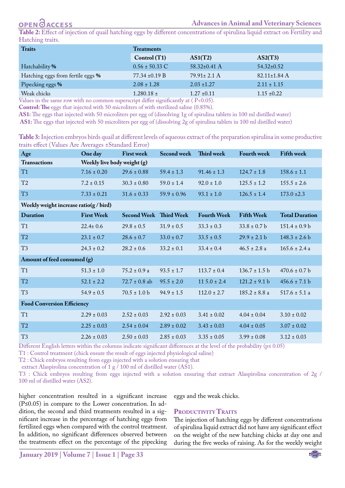**Table 2:** Effect of injection of quail hatching eggs by different concentrations of spirulina liquid extract on Fertility and Hatching traits.

| <b>Traits</b>                     | <b>Treatments</b>  |                                                 |                    |  |
|-----------------------------------|--------------------|-------------------------------------------------|--------------------|--|
|                                   | Control(T1)        | AS1(T2)                                         | AS2(T3)            |  |
| Hatchability %                    | $0.56 \pm 50.33$ C | $58.32 \pm 0.41$ A                              | $54.32 \pm 0.52$   |  |
| Hatching eggs from fertile eggs % | $77.34 \pm 0.19 B$ | $79.91 \pm 2.1$ A                               | $82.11 \pm 1.84$ A |  |
| Pipecking eggs %                  | $2.08 \pm 1.28$    | $2.03 \pm 1.27$                                 | $2.11 \pm 1.15$    |  |
| Weak chicks<br>.                  | $1.280.18 \pm$     | $1.27 \pm 0.11$<br>$\sqrt{2}$ $\sim$ $\sqrt{2}$ | $1.15 \pm 0.22$    |  |

Values in the same row with no common superscript differ significantly at ( P<0.05). **Control: The** eggs that injected with 50 microliters of with sterilized saline (0.85%).

**AS1:** The eggs that injected with 50 microliters per egg of (dissolving 1g of spirulina tablets in 100 ml distilled water)

 **AS1:** The eggs that injected with 50 microliters per egg of (dissolving 2g of spirulina tablets in 100 ml distilled water)

**Table 3:** Injection embryos birds quail at different levels of aqueous extract of the preparation spirulina in some productive traits effect (Values Are Averages ±Standard Error)

| Age                                               | One day                     | <b>First week</b>             | <b>Second week</b> | Third week         | <b>Fourth week</b> | <b>Fifth week</b>     |
|---------------------------------------------------|-----------------------------|-------------------------------|--------------------|--------------------|--------------------|-----------------------|
| <b>Transactions</b>                               | Weekly live body weight (g) |                               |                    |                    |                    |                       |
| T1                                                | $7.16 \pm 0.20$             | $29.6 \pm 0.88$               | $59.4 \pm 1.3$     | $91.46 \pm 1.3$    | $124.7 \pm 1.8$    | $158.6 \pm 1.1$       |
| T <sub>2</sub>                                    | $7.2 \pm 0.15$              | $30.3 \pm 0.80$               | $59.0 \pm 1.4$     | $92.0 \pm 1.0$     | $125.5 \pm 1.2$    | $155.5 \pm 2.6$       |
| T <sub>3</sub>                                    | $7.33 \pm 0.21$             | $31.6 \pm 0.33$               | $59.9 \pm 0.96$    | $93.1 \pm 1.0$     | $126.5 \pm 1.4$    | $173.0 \pm 2.3$       |
| Weekly weight increase ratio( $g / \text{bird}$ ) |                             |                               |                    |                    |                    |                       |
| <b>Duration</b>                                   | <b>First Week</b>           | <b>Second Week Third Week</b> |                    | <b>Fourth Week</b> | <b>Fifth Week</b>  | <b>Total Duration</b> |
| T1                                                | $22.4 \pm 0.6$              | $29.8 \pm 0.5$                | $31.9 \pm 0.5$     | $33.3 \pm 0.3$     | $33.8 \pm 0.7$ b   | $151.4 \pm 0.9 b$     |
| T2                                                | $23.1 \pm 0.7$              | $28.6 \pm 0.7$                | $33.0 \pm 0.7$     | $33.5 \pm 0.5$     | $29.9 \pm 2.1 b$   | $148.3 \pm 2.6 b$     |
| T <sub>3</sub>                                    | $24.3 \pm 0.2$              | $28.2 \pm 0.6$                | $33.2 \pm 0.1$     | $33.4 \pm 0.4$     | $46.5 \pm 2.8$ a   | $165.6 \pm 2.4$ a     |
| Amount of feed consumed (g)                       |                             |                               |                    |                    |                    |                       |
| T1                                                | $51.3 \pm 1.0$              | $75.2 \pm 0.9$ a              | $93.5 \pm 1.7$     | $113.7 \pm 0.4$    | $136.7 \pm 1.5$ b  | $470.6 \pm 0.7$ b     |
| T2                                                | $52.1 \pm 2.2$              | $72.7 \pm 0.8$ ab             | $95.5 \pm 2.0$     | $11\,5.0 \pm 2.4$  | $121.2 \pm 9.1 b$  | $456.6 \pm 7.1 b$     |
| T <sub>3</sub>                                    | $54.9 \pm 0.5$              | $70.5 \pm 1.0 b$              | $94.9 \pm 1.5$     | $112.0 \pm 2.7$    | $185.2 \pm 8.8$ a  | $517.6 \pm 5.1$ a     |
| <b>Food Conversion Efficiency</b>                 |                             |                               |                    |                    |                    |                       |
| T1                                                | $2.29 \pm 0.03$             | $2.52 \pm 0.03$               | $2.92 \pm 0.03$    | $3.41 \pm 0.02$    | $4.04 \pm 0.04$    | $3.10 \pm 0.02$       |
| T <sub>2</sub>                                    | $2.25 \pm 0.03$             | $2.54 \pm 0.04$               | $2.89 \pm 0.02$    | $3.43 \pm 0.03$    | $4.04 \pm 0.05$    | $3.07 \pm 0.02$       |
| T <sub>3</sub>                                    | $2.26 \pm 0.03$             | $2.50 \pm 0.03$               | $2.85 \pm 0.03$    | $3.35 \pm 0.05$    | $3.99 \pm 0.08$    | $3.12 \pm 0.03$       |

Different English letters within the columns indicate significant differences at the level of the probability (p≤ 0.05)

T1 : Control treatment (chick ensure the result of eggs injected physiological saline)

T2 : Chick embryos resulting from eggs injected with a solution ensuring that

extract Alaspirolina concentration of 1 g  $/$  100 ml of distilled water (AS1).

T3 : Chick embryos resulting from eggs injected with a solution ensuring that extract Alaspirolina concentration of 2g / 100 ml of distilled water (AS2).

higher concentration resulted in a significant increase (P≤0.05) in compare to the Lower concentration. In addition, the second and third treatments resulted in a significant increase in the percentage of hatching eggs from fertilized eggs when compared with the control treatment. In addition, no significant differences observed between the treatments effect on the percentage of the pipecking

eggs and the weak chicks.

### PRODUCTIVITY TRAITS

The injection of hatching eggs by different concentrations of spirulina liquid extract did not have any significant effect on the weight of the new hatching chicks at day one and during the five weeks of raising. As for the weekly weight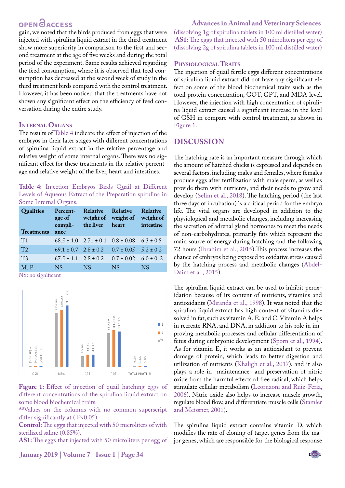# **OPEN**OACCESS

gain, we noted that the birds produced from eggs that were injected with spirulina liquid extract in the third treatment show more superiority in comparison to the first and second treatment at the age of five weeks and during the total period of the experiment. Same results achieved regarding the feed consumption, where it is observed that feed consumption has decreased at the second week of study in the third treatment birds compared with the control treatment. However, it has been noticed that the treatments have not shown any significant effect on the efficiency of feed conversation during the entire study.

#### **Internal Organs**

The results of Table 4 indicate the effect of injection of the embryos in their later stages with different concentrations of spirulina liquid extract in the relative percentage and relative weight of some internal organs. There was no significant effect for these treatments in the relative percentage and relative weight of the liver, heart and intestines.

**Table 4:** Injection Embryos Birds Quail at Different Levels of Aqueous Extract of the Preparation spirulina in Some Internal Organs.

| Qualities<br><b>Treatments</b> | Percent-<br>age of<br>ance   | Relative Relative<br>compli- the liver heart | weight of weight of                                        | <b>Relative</b><br>weight of<br>intestine |
|--------------------------------|------------------------------|----------------------------------------------|------------------------------------------------------------|-------------------------------------------|
| T1                             |                              |                                              | $68.5 \pm 1.0$ $2.71 \pm 0.1$ $0.8 \pm 0.08$ $6.3 \pm 0.5$ |                                           |
| T <sub>2</sub>                 |                              |                                              | $69.1 \pm 0.7$ $2.8 \pm 0.2$ $0.7 \pm 0.05$ $5.2 \pm 0.2$  |                                           |
| T <sub>3</sub>                 | $67.5 \pm 1.1$ $2.8 \pm 0.2$ |                                              | $0.7 \pm 0.02$ 6.0 $\pm$ 0.2                               |                                           |
| $M_{\odot}$ P                  | NS.                          | <b>NS</b>                                    | <b>NS</b>                                                  | <b>NS</b>                                 |

NS: no significant



<span id="page-4-0"></span>Figure 1: Effect of injection of quail hatching eggs of different concentrations of the spirulina liquid extract on some blood biochemical traits.

ABValues on the columns with no common superscript differ significantly at (P<0.05).

**Control:** The eggs that injected with 50 microliters of with sterilized saline (0.85%).

**AS1:** The eggs that injected with 50 microliters per egg of

(dissolving 1g of spirulina tablets in 100 ml distilled water)  **AS1:** The eggs that injected with 50 microliters per egg of (dissolving 2g of spirulina tablets in 100 ml distilled water)

#### **Physiological Traits**

The injection of quail fertile eggs different concentrations of spirulina liquid extract did not have any significant effect on some of the blood biochemical traits such as the total protein concentration, GOT, GPT, and MDA level. However, the injection with high concentration of spirulina liquid extract caused a significant increase in the level of GSH in compare with control treatment, as shown in [Figure 1](#page-4-0).

## **Discussion**

The hatching rate is an important measure through which the amount of hatched chicks is expressed and depends on several factors, including males and females, where females produce eggs after fertilization with male sperm, as well as provide them with nutrients, and their needs to grow and develop ([Selim et al., 2018](#page-6-0)). The hatching period (the last three days of incubation) is a critical period for the embryo life. The vital organs are developed in addition to the physiological and metabolic changes, including increasing the secretion of adrenal gland hormones to meet the needs of non-carbohydrates, primarily fats which represent the main source of energy during hatching and the following 72 hours [\(Ibrahim et al., 2015](#page-6-20)).This process increases the chance of embryos being exposed to oxidative stress caused by the hatching process and metabolic changes [\(Abdel-](#page-5-5)[Daim et al., 2015](#page-5-5)).

The spirulina liquid extract can be used to inhibit peroxidation because of its content of nutrients, vitamins and antioxidants ([Miranda et al., 1998](#page-6-21)). It was noted that the spirulina liquid extract has high content of vitamins dissolved in fat, such as vitamin A, E, and C. Vitamin A helps in recreate RNA, and DNA, in addition to his role in improving metabolic processes and cellular differentiation of fetus during embryonic development ([Sporn et al., 1994](#page-7-4)). As for vitamin E, it works as an antioxidant to prevent damage of protein, which leads to better digestion and utilization of nutrients [\(Khaligh et al., 2017\)](#page-6-22), and it also plays a role in maintenance and preservation of nitric oxide from the harmful effects of free radical, which helps stimulate cellular metabolism ([Leornzoni and Ruiz-Feria,](#page-6-23)  [2006](#page-6-23)). Nitric oxide also helps to increase muscle growth, regulate blood flow, and differentiate muscle cells [\(Stamler](#page-7-5)  [and Meissner, 2001\)](#page-7-5).

The spirulina liquid extract contains vitamin D, which modifies the rate of cloning of target genes from the major genes, which are responsible for the biological response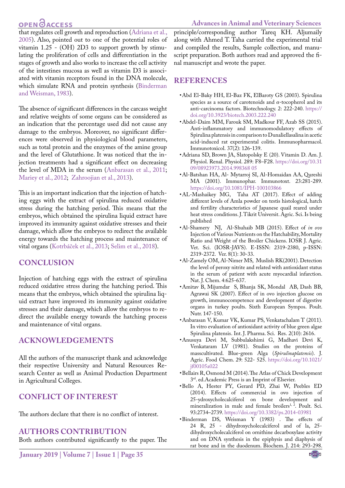#### **Advances in Animal and Veterinary Sciences**

# **OPEN**OACCESS

that regulates cell growth and reproduction ([Adriana et al.,](#page-5-6) [2005\)](#page-5-6). Also, pointed out to one of the potential roles of vitamin 1.25 - (OH) 2D3 to support growth by stimulating the proliferation of cells and differentiation in the stages of growth and also works to increase the cell activity of the intestines mucosa as well as vitamin D3 is associated with vitamin receptors found in the DNA molecule, which simulate RNA and protein synthesis [\(Binderman](#page-5-7) [and Weisman, 1983\)](#page-5-7).

The absence of significant differences in the carcass weight and relative weights of some organs can be considered as an indication that the percentage used did not cause any damage to the embryos. Moreover, no significant differences were observed in physiological blood parameters, such as total protein and the enzymes of the amine group and the level of Glutathione. It was noticed that the injection treatments had a significant effect on decreasing the level of MDA in the serum [\(Anbarasan et al., 2011;](#page-5-0) [Mariey et al., 2012](#page-6-6); [Zahroojian et al., 2013](#page-7-1)).

This is an important indication that the injection of hatching eggs with the extract of spirulina reduced oxidative stress during the hatching period. This means that the embryos, which obtained the spirulina liquid extract have improved its immunity against oxidative stresses and their damage, which allow the embryos to redirect the available energy towards the hatching process and maintenance of vital organs (Kotrbáček et al., 2013; [Selim et al., 2018\)](#page-6-0).

## **CONCLUSION**

Injection of hatching eggs with the extract of spirulina reduced oxidative stress during the hatching period. This means that the embryos, which obtained the spirulina liquid extract have improved its immunity against oxidative stresses and their damage, which allow the embryos to redirect the available energy towards the hatching process and maintenance of vital organs.

## **ACKNOWLEDGEMENTS**

All the authors of the manuscript thank and acknowledge their respective University and Natural Resources Research Center as well as Animal Production Department in Agricultural Colleges.

# **Conflict of interest**

The authors declare that there is no conflict of interest.

### **Authors contribution**

Both authors contributed significantly to the paper. The

principle/corresponding author Tareq KH. Aljumaily along with Ahmed T. Taha carried the experimental trial and compiled the results, Sample collection, and manuscript preparation. Both authors read and approved the final manuscript and wrote the paper.

### **REFERENCES**

- • Abd El-Baky HH, El-Baz FK, ElBaroty GS (2003). Spirulina species as a source of carotenoids and *α*-tocopherol and its anti-carcinoma factors. Biotechnology. 2: 222-240. [https://](https://doi.org/10.3923/biotech.2003.222.240 ) [doi.org/10.3923/biotech.2003.222.240](https://doi.org/10.3923/biotech.2003.222.240 )
- <span id="page-5-5"></span>• Abdel-Daim MM, Farouk SM, Madkour FF, Azab SS (2015). Anti-inflammatory and immunomodulatory effects of Spirulina platensis in comparison to Dunaliellasalina in acetic acid-induced rat experimental colitis. Immunopharmacol. Immunotoxicol. 37(2): 126-139.
- <span id="page-5-6"></span>• Adriana SD, Brown JA, Slatopolsky E (20). Vitamin D. Am. J. Physiol. Renal. Physiol. 289: F8–F28. [https://doi.org/10.31](https://doi.org/10.3109/08923973.2014.998368 05) [09/08923973.2014.998368 05](https://doi.org/10.3109/08923973.2014.998368 05)
- <span id="page-5-2"></span>• Al-Batshan HA, Al- Mytarroj SI, Al-Homaidan AA, Qureshi MA (2001). Immunophar. Immunotoxt. 23:281-289. [https://doi.org/10.1081/IPH-100103866](https://doi.org/10.1081/IPH-100103866 )
- <span id="page-5-3"></span>•AL-Mashaikey MG, Taha AT (2017). Effect of adding different levels of Amla powder on testis histological, hatch and fertility characteristics of Japanese quail reared under heat stress conditions. J. Tikrit Universit. Agric. Sci. Is being published
- • Al-Shamery NJ, Al-Shuhaib MB (2015). Effect of *in ovo* Injection of Various Nutrients on the Hatchability, Mortality Ratio and Weight of the Broiler Chickens. IOSR J. Agric. Vet. Sci. (IOSR-JAVS). E-ISSN: 2319-2380, p-ISSN: 2319-2372. Ver. 8(1): 30-33.
- • Al-Zamely OM, Al-Nimer MS, Muslish RK(2001). Detection the level of peroxy nitrite and related with antioxidant status in the serum of patient with acute myocardial infarction. Nat. J. Chem. 4:625-637.
- • Amitav B, Mijumdar S, Bhanja SK, Mondal AB, Dash BB, Agrawai SK (2007). Effect of in ovo injection glucose on growth, immunocompetence and development of digestive organs in turkey poults. Sixth European Sympos. Poult. Nutr. 147-150.
- <span id="page-5-0"></span>• Anbarasan V, Kumar VK, Kumar PS, Venkatachalam T (2011). In vitro evaluation of antioxidant activity of blue green algae Spirulina platensis. Int. J. Pharma. Sci. Res. 2(10): 2616.
- <span id="page-5-1"></span>• Anusuya Devi M, Subbulakshimi G, Madhavi Devi K, Venkataram LV (1981). Studies on the proteins of masscultivated. Blue-green Alga (*Spirulinaplatensis*). J. Agric. Food Chem. 29: 522- 525. [https://doi.org/10.1021/](https://doi.org/10.1021/jf00105a022 ) [jf00105a022](https://doi.org/10.1021/jf00105a022 )
- <span id="page-5-4"></span>• Bellairs R, Osmond M (2014). The Atlas of Chick Development 3rd. ed.Academic Press is an Imprint of Elsevier.
- • Bello A, Hester PY, Gerard PD, Zhai W, Peebles ED (2014). Effects of commercial in ovo injection of 25-ydroxycholecalciferol on bone development and mineralization in male and female broilers<sup>1, 2</sup>. Poult. Sci. 93:2734–2739. [https://doi.org/10.3382/ps.2014-03981](https://doi.org/10.3382/ps.2014-03981 )
- <span id="page-5-7"></span>•Binderman DS, Weisman Y (1983) . The effects of 24 R, 25 - dihydroxycholecalciferol and of la, 25 dihydroxycholecalciferol on ornithine decarboxylase activity and on DNA synthesis in the epiphysis and diaphysis of rat bone and in the duodenum. Biochem. J. 214: 293-298.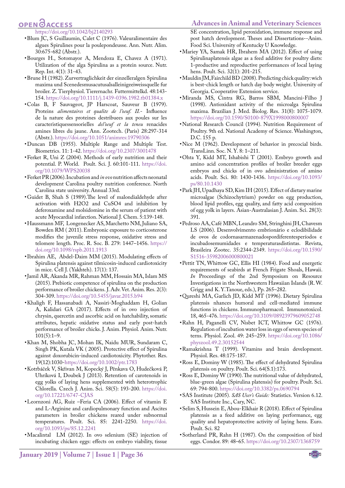# **OPENOACCESS**

#### <span id="page-6-12"></span>[https://doi.org/10.1042/bj2140293](https://doi.org/10.1042/bj2140293 )

- • Blum JC, S Guillaumin, Calet C (1976). Valeuralimentaire des algues Spirulines pour la poulepondeusse. Ann. Nutr. Alim. 30:675-682 (Abstr.).
- <span id="page-6-9"></span>• Bourges H., Sotomayor A, Mendoza E, Chavez A (1971). Utilization of the alga Spirulina as a protein source. Nutr. Rep. Int. 4(1): 31-43.
- <span id="page-6-13"></span>• Brune H (1982). Zurvertraglichkeit der einzelleralgen Spirulina maxima und Scenedesmusacutusalsalleinigeeiweissquelle fur broiler. Z. Tierphysiol. Tierernachr. Futtermittelkd. 48:143- 154. [https://doi.org/10.1111/j.1439-0396.1982.tb01384.x](https://doi.org/10.1111/j.1439-0396.1982.tb01384.x )
- • Colas B, F Sauvageot, JP Harscoat, Sauveur B (1979). Proteins *alimentaires et qualite de l'oeuf. II.*- Influence de la nature des proteines destribuees aux poules sur les caracteristiquessensorielles *del'oeuf et la teneu* renacides amines libres du jaune. Ann. Zootech. (Paris) 28:297-314 (Abstr.). [https://doi.org/10.1051/animres:19790306](https://doi.org/10.1051/animres:19790306 )
- <span id="page-6-19"></span>• Duncan DB (1955). Multiple Range and Multiple Test. Biometrics. 11: 1-42. [https://doi.org/10.2307/3001478](https://doi.org/10.2307/3001478 )
- Ferket R, Uni Z (2004). Methods of early nutrition and their potential. P. World. Poult. Sci. J. 60:101-111. [https://doi.](https://doi.org/10.1079/WPS20038 ) [org/10.1079/WPS20038](https://doi.org/10.1079/WPS20038 )
- • Ferket PR (2006). Incubation and *in ovo* nutrition affects neonatal development Carolina poultry nutrition conference. North Carolina state university. Annual 33rd.
- • Guidet B, Shah S (1989).The level of malondialdehyde after activation with H2O2 and CuSO4 and inhibition by deferoxamine and molsidomine in the serum of patient with acute Myocardial infarction. National J. Chem. 5:139-148.
- <span id="page-6-18"></span>• Haussmann MF, Longenecker AS, Marchetto NM, Juliano SA, Bowden RM ( 2011). Embryonic exposure to corticosterone modifies the juvenile stress response, oxidative stress and telomere length. Proc. R. Soc. B. 279: 1447–1456[. https://]( https://doi.org/10.1098/rspb.2011.1913 ) [doi.org/10.1098/rspb.2011.1913]( https://doi.org/10.1098/rspb.2011.1913 )
- <span id="page-6-20"></span>• Ibrahim AE, Abdel-Daim MM (2015). Modulating effects of Spirulina platensis against tilmicosin-induced cardiotoxicity in mice. Cell J. (Yakhteh). 17(1): 137.
- <span id="page-6-10"></span>• Jamil AR, Akanda MR, Rahman MM, Hossain MA, Islam MS (2015). Prebiotic competence of spirulina on the production performance of broiler chickens. J. Adv. Vet. Anim. Res. 2(3): 304-309. [https://doi.org/10.5455/javar.2015.b94](https://doi.org/10.5455/javar.2015.b94 )
- <span id="page-6-22"></span>• Khaligh F, Hassanabadi A, Nassiri-Moghaddam H, Golian A, Kalidari GA (2017). Effects of in ovo injection of chrysin, quercetin and ascorbic acid on hatchability, somatic attributes, hepatic oxidative status and early post-hatch performance of broiler chicks. J. Anim. Physiol. Anim. Nutr.  $101(5):1-9.$
- <span id="page-6-16"></span>• Khan M, Shobha JC, Mohan IK, Naidu MUR, Sundaram C, Singh PK, Kutala VK ( 2005). Protective effect of Spirulina against doxorubicin-induced cardiotoxicity. Phytother. Res. 19(12):1030[-https://doi.org/10.1002/ptr.1783](https://doi.org/10.1002/ptr.1783 )
- • Kotrbáček V, Skřivan M, Kopecký J, Pěnkava O, Hudečková P, Uhríková I, Doubek J (2013). Retention of carotenoids in egg yolks of laying hens supplemented with heterotrophic Chlorella. Czech J. Anim. Sci. 58(5): 193-200. [https://doi.](https://doi.org/10.17221/6747-CJAS ) [org/10.17221/6747-CJAS](https://doi.org/10.17221/6747-CJAS )
- <span id="page-6-23"></span>• Leornzoni AG, Ruiz –Feria CA (2006). Effect of vitamin E and L-Arginine and cardiopulmonary function and Ascites parameters in broiler chickens reared under subnormal temperatures. Poult. Sci. 85: 2241-2250. [https://doi.](https://doi.org/10.1093/ps/85.12.2241 ) [org/10.1093/ps/85.12.2241](https://doi.org/10.1093/ps/85.12.2241 )
- <span id="page-6-8"></span>• Macalintal LM (2012). In ovo selenium (SE) injection of incubating chicken eggs: effects on embryo viability, tissue

**January 2019 | Volume 7 | Issue 1 | Page 36**

#### **Advances in Animal and Veterinary Sciences**

SE concentration, lipid peroxidation, immune response and post hatch development. Theses and Dissertations--Anim. Food Sci. University of Kentucky U Knowledge.

- <span id="page-6-6"></span>• Mariey YA, Samak HR, Ibrahem MA (2012). Effect of using Spirulinaplatensis algae as a feed additive for poultry diets: 1-productive and reproductive performances of local laying hens. Poult. Sci. 32(1): 201-215.
- • Mauldin JM, Fairchild BD (2008). Predicting chick quality: wich is best-chick length or hatch day body weight. University of Georgia. Cooperative Extension service.
- <span id="page-6-21"></span>• Miranda MS, Cintra RG, Barros SBM, Mancini-Filho J (1998). Antioxidant activity of the microalga Spirulina maxima. Brazilian J. Med. Biolog. Res. 31(8): 1075-1079. [https://doi.org/10.1590/S0100-879X1998000800007](https://doi.org/10.1590/S0100-879X1998000800007 )
- <span id="page-6-17"></span>• National Research Council (1994). Nutrition Requirement of Poultry. 9th ed. National Academy of Science. Washington, D.C. 155 p.
- <span id="page-6-1"></span>• Nice M (1962). Development of behavior in precocial birds. TransLinn. Soc. N. Y. 8: 1–211.
- <span id="page-6-7"></span>• Ohta Y, Kidd MT, Ishabishi T (2001). Embryo growth and amino acid concentration profiles of broiler breeder eggs embryos and chicks of in ovo administration of amino acids. Poult. Sci. 80: 1430-1436. [https://doi.org/10.1093/](https://doi.org/10.1093/ps/80.10.1430 ) [ps/80.10.1430](https://doi.org/10.1093/ps/80.10.1430 )
- <span id="page-6-5"></span>• Park JH, Upadhaya SD, Kim IH (2015). Effect of dietary marine microalgae (Schizochytrium) powder on egg production, blood lipid profiles, egg quality, and fatty acid composition of egg yolk in layers. Asian-Australasian J. Anim. Sci. 28(3): 391.
- • Pedroso AA, Café MBN, Leandro SM, Stringhini JH, Chavesm LS (2006). Desenvolvimento embrionário e eclodibilidade de ovos de codornasarmazenadospordiferentesperíodos e incubadosemumidades e temperaturasdistintas. Revista, Brasileira Zootec. 35:2344-2349. [https://doi.org/10.1590/](https://doi.org/10.1590/S1516-35982006000800021 ) [S1516-35982006000800021](https://doi.org/10.1590/S1516-35982006000800021 )
- <span id="page-6-3"></span>• Pettit TN, Whittow GC, Ellis HI (1984). Food and energetic requirements of seabirds at French Frigate Shoals, Hawaii. *In* Proceedings of the 2nd Symposium on Resource Investigations in the Northwestern Hawaiian Islands (R. W. Grigg and K. Y.Tanoue, eds.), Pp. 265–282.
- <span id="page-6-11"></span>• Qureshi MA, Garlich JD, Kidd MT (1996). Dietary Spirulina platensis nhances humoral and cell-mediated immune functions in chickens. Immunopharmacol. Immunotoxicol. 18, 465-476[. https://doi.org/10.3109/08923979609052748]( https://doi.org/10.3109/08923979609052748 )
- • Rahn H, Paganelli CV, Nisbet ICT, Whittow GC (1976). Regulation of incubation water loss in eggs of seven species of terns. Physiol. Zool. 49: 245–259. [https://doi.org/10.1086/](https://doi.org/10.1086/physzool.49.2.30152544 ) [physzool.49.2.30152544](https://doi.org/10.1086/physzool.49.2.30152544 )
- <span id="page-6-4"></span>• Ramakrishna T (1999). Vitamins and brain development. Physiol. Res. 48:175-187.
- <span id="page-6-14"></span>• Ross E, Dominy W (1985). The effect of dehydrated Spirulina platensis on poultry. Poult. Sci. 64(S.1):173.
- <span id="page-6-15"></span>• Ross E, Dominy W (1990). The nutritional value of dehydrated, blue-green algae (Spirulina platensis) for poultry. Poult. Sci. 69: 794-800.<https://doi.org/10.3382/ps.0690794>
- • SAS Institute (2005)*. SAS User's Guide:* Statistics. Version 6.12. SAS Institute Inc., Cary, NC.
- <span id="page-6-0"></span>• Selim S, Hussein E, Abou-Elkhair R (2018). Effect of Spirulina platensis as a feed additive on laying performance, egg quality and hepatoprotective activity of laying hens. Euro. Poult. Sci. 82
- <span id="page-6-2"></span>• Sotherland PR, Rahn H (1987). On the composition of bird eggs. Condor. 89: 48–65. [https://doi.org/10.2307/1368759](https://doi.org/10.2307/1368759 )